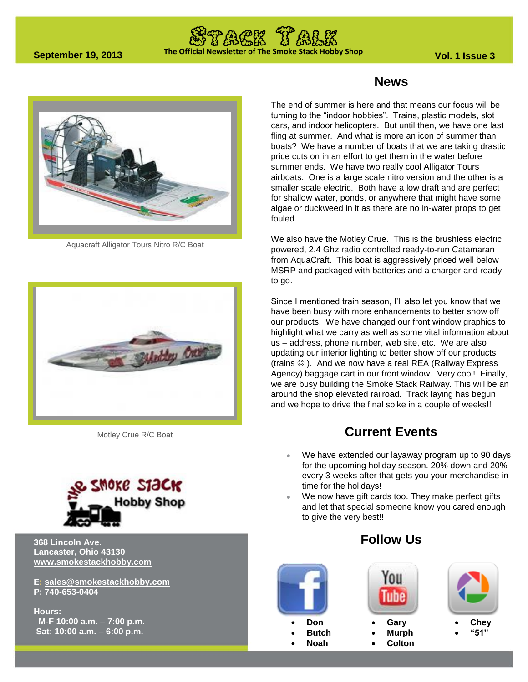# **The Official Newsletter of The Smoke Stack Hobby Shop September 19, 2013 Vol. 1 Issue 3**



Aquacraft Alligator Tours Nitro R/C Boat



Motley Crue R/C Boat



#### **368 Lincoln Ave. Lancaster, Ohio 43130 [www.smokestackhobby.com](http://www.smokestackhobby.com/)**

**E: [sales@smokestackhobby.com](mailto:sales@smokestackhobby.com) P: 740-653-0404**

**Hours: M-F 10:00 a.m. – 7:00 p.m. Sat: 10:00 a.m. – 6:00 p.m.**

#### **News**

The end of summer is here and that means our focus will be turning to the "indoor hobbies". Trains, plastic models, slot cars, and indoor helicopters. But until then, we have one last fling at summer. And what is more an icon of summer than boats? We have a number of boats that we are taking drastic price cuts on in an effort to get them in the water before summer ends. We have two really cool Alligator Tours airboats. One is a large scale nitro version and the other is a smaller scale electric. Both have a low draft and are perfect for shallow water, ponds, or anywhere that might have some algae or duckweed in it as there are no in-water props to get fouled.

We also have the Motley Crue. This is the brushless electric powered, 2.4 Ghz radio controlled ready-to-run Catamaran from AquaCraft. This boat is aggressively priced well below MSRP and packaged with batteries and a charger and ready to go.

Since I mentioned train season, I'll also let you know that we have been busy with more enhancements to better show off our products. We have changed our front window graphics to highlight what we carry as well as some vital information about us – address, phone number, web site, etc. We are also updating our interior lighting to better show off our products (trains  $\circledcirc$ ). And we now have a real REA (Railway Express Agency) baggage cart in our front window. Very cool! Finally, we are busy building the Smoke Stack Railway. This will be an around the shop elevated railroad. Track laying has begun and we hope to drive the final spike in a couple of weeks!!

### **Current Events**

- We have extended our layaway program up to 90 days for the upcoming holiday season. 20% down and 20% every 3 weeks after that gets you your merchandise in time for the holidays!
- We now have gift cards too. They make perfect gifts and let that special someone know you cared enough to give the very best!!

#### **Follow Us**